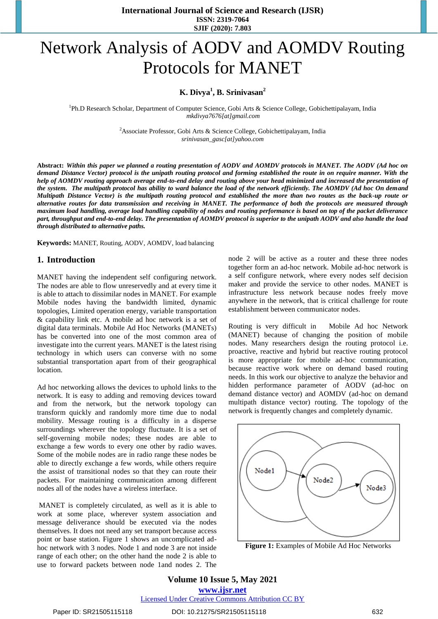# Network Analysis of AODV and AOMDV Routing Protocols for MANET

## **K. Divya<sup>1</sup> , B. Srinivasan<sup>2</sup>**

<sup>1</sup>Ph.D Research Scholar, Department of Computer Science, Gobi Arts & Science College, Gobichettipalayam, India *[mkdivya7676\[at\]gmail.com](mailto:%20mkdivya7676@gmail.com)*

> <sup>2</sup>Associate Professor, Gobi Arts & Science College, Gobichettipalayam, India *[srinivasan\\_gasc\[at\]yahoo.com](mailto:srinivasan_gasc@yahoo.com)*

**Abstract:** *Within this paper we planned a routing presentation of AODV and AOMDV protocols in MANET. The AODV (Ad hoc on demand Distance Vector) protocol is the unipath routing protocol and forming established the route in on require manner. With the help of AOMDV routing approach average end-to-end delay and routing above your head minimized and increased the presentation of the system. The multipath protocol has ability to ward balance the load of the network efficiently. The AOMDV (Ad hoc On demand Multipath Distance Vector) is the multipath routing protocol and established the more than two routes as the back-up route or alternative routes for data transmission and receiving in MANET. The performance of both the protocols are measured through maximum load handling, average load handling capability of nodes and routing performance is based on top of the packet deliverance part, throughput and end-to-end delay. The presentation of AOMDV protocol is superior to the unipath AODV and also handle the load through distributed to alternative paths.* 

**Keywords:** MANET, Routing, AODV, AOMDV, load balancing

## **1. Introduction**

MANET having the independent self configuring network. The nodes are able to flow unreservedly and at every time it is able to attach to dissimilar nodes in MANET. For example Mobile nodes having the bandwidth limited, dynamic topologies, Limited operation energy, variable transportation & capability link etc. A mobile ad hoc network is a set of digital data terminals. Mobile Ad Hoc Networks (MANETs) has be converted into one of the most common area of investigate into the current years. MANET is the latest rising technology in which users can converse with no some substantial transportation apart from of their geographical location.

Ad hoc networking allows the devices to uphold links to the network. It is easy to adding and removing devices toward and from the network, but the network topology can transform quickly and randomly more time due to nodal mobility. Message routing is a difficulty in a disperse surroundings wherever the topology fluctuate. It is a set of self-governing mobile nodes; these nodes are able to exchange a few words to every one other by radio waves. Some of the mobile nodes are in radio range these nodes be able to directly exchange a few words, while others require the assist of transitional nodes so that they can route their packets. For maintaining communication among different nodes all of the nodes have a wireless interface.

MANET is completely circulated, as well as it is able to work at some place, wherever system association and message deliverance should be executed via the nodes themselves. It does not need any set transport because access point or base station. Figure 1 shows an uncomplicated adhoc network with 3 nodes. Node 1 and node 3 are not inside range of each other; on the other hand the node 2 is able to use to forward packets between node 1and nodes 2. The node 2 will be active as a router and these three nodes together form an ad-hoc network. Mobile ad-hoc network is a self configure network, where every nodes self decision maker and provide the service to other nodes. MANET is infrastructure less network because nodes freely move anywhere in the network, that is critical challenge for route establishment between communicator nodes.

Routing is very difficult in Mobile Ad hoc Network (MANET) because of changing the position of mobile nodes. Many researchers design the routing protocol i.e. proactive, reactive and hybrid but reactive routing protocol is more appropriate for mobile ad-hoc communication, because reactive work where on demand based routing needs. In this work our objective to analyze the behavior and hidden performance parameter of AODV (ad-hoc on demand distance vector) and AOMDV (ad-hoc on demand multipath distance vector) routing. The topology of the network is frequently changes and completely dynamic.



**Figure 1:** Examples of Mobile Ad Hoc Networks

**Volume 10 Issue 5, May 2021 www.ijsr.net** Licensed Under Creative Commons Attribution CC BY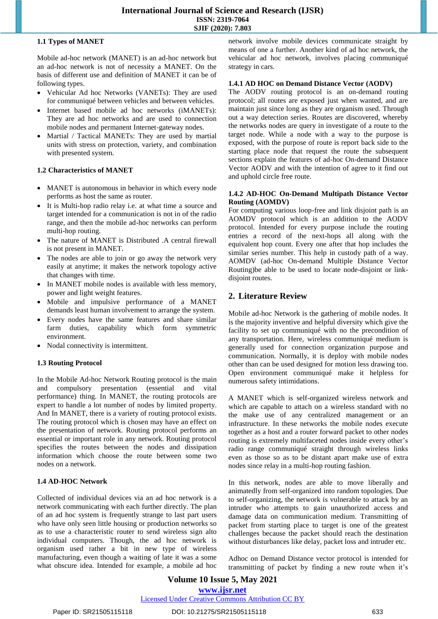## **1.1 Types of MANET**

Mobile ad-hoc network (MANET) is an ad-hoc network but an ad-hoc network is not of necessity a MANET. On the basis of different use and definition of MANET it can be of following types.

- Vehicular Ad hoc Networks (VANETs): They are used for communiqué between vehicles and between vehicles.
- Internet based mobile ad hoc networks (iMANETs): They are ad hoc networks and are used to connection mobile nodes and permanent Internet-gateway nodes.
- Martial / Tactical MANETs: They are used by martial units with stress on protection, variety, and combination with presented system.

## **1.2 Characteristics of MANET**

- MANET is autonomous in behavior in which every node performs as host the same as router.
- It is Multi-hop radio relay i.e. at what time a source and target intended for a communication is not in of the radio range, and then the mobile ad-hoc networks can perform multi-hop routing.
- The nature of MANET is Distributed .A central firewall is not present in MANET.
- The nodes are able to join or go away the network very easily at anytime; it makes the network topology active that changes with time.
- In MANET mobile nodes is available with less memory, power and light weight features.
- Mobile and impulsive performance of a MANET demands least human involvement to arrange the system.
- Every nodes have the same features and share similar farm duties, capability which form symmetric environment.
- Nodal connectivity is intermittent.

## **1.3 Routing Protocol**

In the Mobile Ad-hoc Network Routing protocol is the main and compulsory presentation (essential and vital performance) thing. In MANET, the routing protocols are expert to handle a lot number of nodes by limited property. And In MANET, there is a variety of routing protocol exists. The routing protocol which is chosen may have an effect on the presentation of network. Routing protocol performs an essential or important role in any network. Routing protocol specifies the routes between the nodes and dissipation information which choose the route between some two nodes on a network.

#### **1.4 AD-HOC Network**

Collected of individual devices via an ad hoc network is a network communicating with each further directly. The plan of an ad hoc system is frequently strange to last part users who have only seen little housing or production networks so as to use a characteristic router to send wireless sign alto individual computers. Though, the ad hoc network is organism used rather a bit in new type of wireless manufacturing, even though a waiting of late it was a some what obscure idea. Intended for example, a mobile ad hoc network involve mobile devices communicate straight by means of one a further. Another kind of ad hoc network, the vehicular ad hoc network, involves placing communiqué strategy in cars.

#### **1.4.1 AD HOC on Demand Distance Vector (AODV)**

The AODV routing protocol is an on-demand routing protocol; all routes are exposed just when wanted, and are maintain just since long as they are organism used. Through out a way detection series. Routes are discovered, whereby the networks nodes are query in investigate of a route to the target node. While a node with a way to the purpose is exposed, with the purpose of route is report back side to the starting place node that request the route the subsequent sections explain the features of ad-hoc On-demand Distance Vector AODV and with the intention of agree to it find out and uphold circle free route.

#### **1.4.2 AD-HOC On-Demand Multipath Distance Vector Routing (AOMDV)**

For computing various loop-free and link disjoint path is an AOMDV protocol which is an addition to the AODV protocol. Intended for every purpose include the routing entries a record of the next-hops all along with the equivalent hop count. Every one after that hop includes the similar series number. This help in custody path of a way. AOMDV (ad-hoc On-demand Multiple Distance Vector Routing)be able to be used to locate node-disjoint or linkdisjoint routes.

## **2. Literature Review**

Mobile ad-hoc Network is the gathering of mobile nodes. It is the majority inventive and helpful diversity which give the facility to set up communiqué with no the precondition of any transportation. Here, wireless communiqué medium is generally used for connection organization purpose and communication. Normally, it is deploy with mobile nodes other than can be used designed for motion less drawing too. Open environment communiqué make it helpless for numerous safety intimidations.

A MANET which is self-organized wireless network and which are capable to attach on a wireless standard with no the make use of any centralized management or an infrastructure. In these networks the mobile nodes execute together as a host and a router forward packet to other nodes routing is extremely multifaceted nodes inside every other's radio range communiqué straight through wireless links even as those so as to be distant apart make use of extra nodes since relay in a multi-hop routing fashion.

In this network, nodes are able to move liberally and animatedly from self-organized into random topologies. Due to self-organizing, the network is vulnerable to attack by an intruder who attempts to gain unauthorized access and damage data on communication medium. Transmitting of packet from starting place to target is one of the greatest challenges because the packet should reach the destination without disturbances like delay, packet loss and intruder etc.

Adhoc on Demand Distance vector protocol is intended for transmitting of packet by finding a new route when it's

**Volume 10 Issue 5, May 2021 www.ijsr.net** Licensed Under Creative Commons Attribution CC BY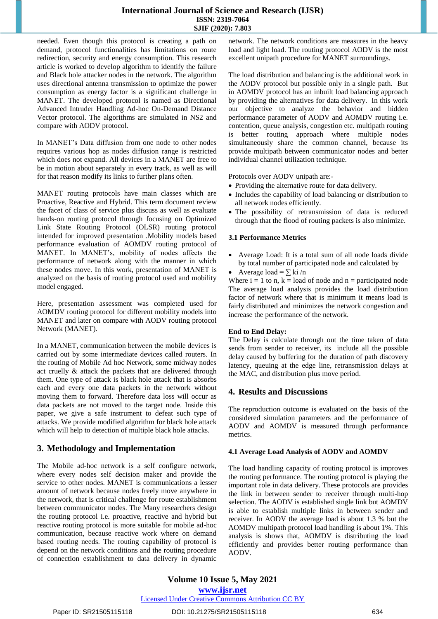needed. Even though this protocol is creating a path on demand, protocol functionalities has limitations on route redirection, security and energy consumption. This research article is worked to develop algorithm to identify the failure and Black hole attacker nodes in the network. The algorithm uses directional antenna transmission to optimize the power consumption as energy factor is a significant challenge in MANET. The developed protocol is named as Directional Advanced Intruder Handling Ad-hoc On-Demand Distance Vector protocol. The algorithms are simulated in NS2 and compare with AODV protocol.

In MANET's Data diffusion from one node to other nodes requires various hop as nodes diffusion range is restricted which does not expand. All devices in a MANET are free to be in motion about separately in every track, as well as will for that reason modify its links to further plans often.

MANET routing protocols have main classes which are Proactive, Reactive and Hybrid. This term document review the facet of class of service plus discuss as well as evaluate hands-on routing protocol through focusing on Optimized Link State Routing Protocol (OLSR) routing protocol intended for improved presentation .Mobility models based performance evaluation of AOMDV routing protocol of MANET. In MANET's, mobility of nodes affects the performance of network along with the manner in which these nodes move. In this work, presentation of MANET is analyzed on the basis of routing protocol used and mobility model engaged.

Here, presentation assessment was completed used for AOMDV routing protocol for different mobility models into MANET and later on compare with AODV routing protocol Network (MANET).

In a MANET, communication between the mobile devices is carried out by some intermediate devices called routers. In the routing of Mobile Ad hoc Network, some midway nodes act cruelly & attack the packets that are delivered through them. One type of attack is black hole attack that is absorbs each and every one data packets in the network without moving them to forward. Therefore data loss will occur as data packets are not moved to the target node. Inside this paper, we give a safe instrument to defeat such type of attacks. We provide modified algorithm for black hole attack which will help to detection of multiple black hole attacks.

## **3. Methodology and Implementation**

The Mobile ad-hoc network is a self configure network, where every nodes self decision maker and provide the service to other nodes. MANET is communications a lesser amount of network because nodes freely move anywhere in the network, that is critical challenge for route establishment between communicator nodes. The Many researchers design the routing protocol i.e. proactive, reactive and hybrid but reactive routing protocol is more suitable for mobile ad-hoc communication, because reactive work where on demand based routing needs. The routing capability of protocol is depend on the network conditions and the routing procedure of connection establishment to data delivery in dynamic

network. The network conditions are measures in the heavy load and light load. The routing protocol AODV is the most excellent unipath procedure for MANET surroundings.

The load distribution and balancing is the additional work in the AODV protocol but possible only in a single path. But in AOMDV protocol has an inbuilt load balancing approach by providing the alternatives for data delivery. In this work our objective to analyze the behavior and hidden performance parameter of AODV and AOMDV routing i.e. contention, queue analysis, congestion etc. multipath routing is better routing approach where multiple nodes simultaneously share the common channel, because its provide multipath between communicator nodes and better individual channel utilization technique.

Protocols over AODV unipath are:-

- Providing the alternative route for data delivery.
- Includes the capability of load balancing or distribution to all network nodes efficiently.
- The possibility of retransmission of data is reduced through that the flood of routing packets is also minimize.

#### **3.1 Performance Metrics**

 Average Load: It is a total sum of all node loads divide by total number of participated node and calculated by

## Average load =  $\sum$  ki/n

Where  $i = 1$  to n,  $k =$  load of node and  $n =$  participated node The average load analysis provides the load distribution factor of network where that is minimum it means load is fairly distributed and minimizes the network congestion and increase the performance of the network.

#### **End to End Delay:**

The Delay is calculate through out the time taken of data sends from sender to receiver, its include all the possible delay caused by buffering for the duration of path discovery latency, queuing at the edge line, retransmission delays at the MAC, and distribution plus move period.

## **4. Results and Discussions**

The reproduction outcome is evaluated on the basis of the considered simulation parameters and the performance of AODV and AOMDV is measured through performance metrics.

#### **4.1 Average Load Analysis of AODV and AOMDV**

The load handling capacity of routing protocol is improves the routing performance. The routing protocol is playing the important role in data delivery. These protocols are provides the link in between sender to receiver through multi-hop selection. The AODV is established single link but AOMDV is able to establish multiple links in between sender and receiver. In AODV the average load is about 1.3 % but the AOMDV multipath protocol load handling is about 1%. This analysis is shows that, AOMDV is distributing the load efficiently and provides better routing performance than AODV.

## Licensed Under Creative Commons Attribution CC BY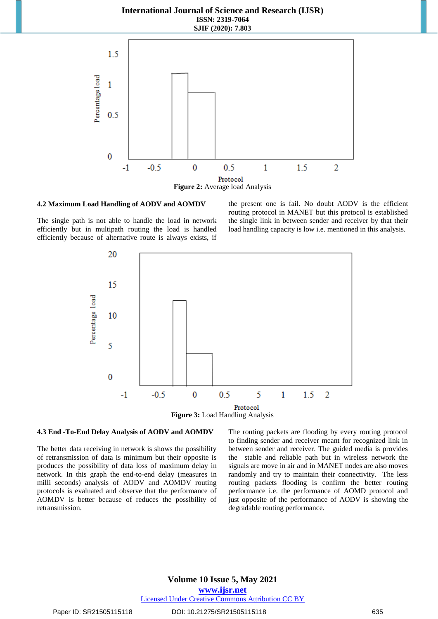

#### **4.2 Maximum Load Handling of AODV and AOMDV**

The single path is not able to handle the load in network efficiently but in multipath routing the load is handled efficiently because of alternative route is always exists, if the present one is fail. No doubt AODV is the efficient routing protocol in MANET but this protocol is established the single link in between sender and receiver by that their load handling capacity is low i.e. mentioned in this analysis.



#### **4.3 End -To-End Delay Analysis of AODV and AOMDV**

The better data receiving in network is shows the possibility of retransmission of data is minimum but their opposite is produces the possibility of data loss of maximum delay in network. In this graph the end-to-end delay (measures in milli seconds) analysis of AODV and AOMDV routing protocols is evaluated and observe that the performance of AOMDV is better because of reduces the possibility of retransmission.

The routing packets are flooding by every routing protocol to finding sender and receiver meant for recognized link in between sender and receiver. The guided media is provides the stable and reliable path but in wireless network the signals are move in air and in MANET nodes are also moves randomly and try to maintain their connectivity. The less routing packets flooding is confirm the better routing performance i.e. the performance of AOMD protocol and just opposite of the performance of AODV is showing the degradable routing performance.

## **Volume 10 Issue 5, May 2021**

**www.ijsr.net**

Licensed Under Creative Commons Attribution CC BY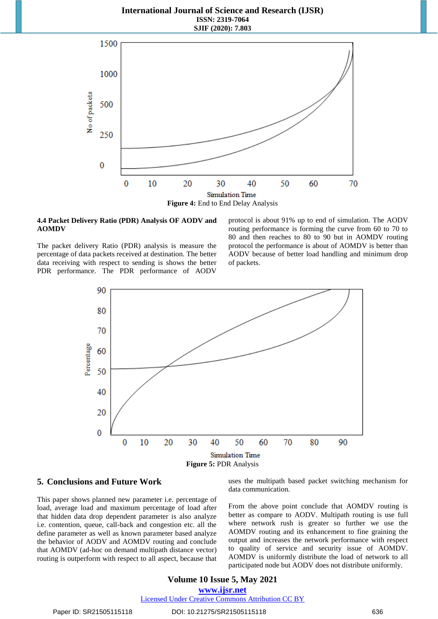

#### **4.4 Packet Delivery Ratio (PDR) Analysis OF AODV and AOMDV**

The packet delivery Ratio (PDR) analysis is measure the percentage of data packets received at destination. The better data receiving with respect to sending is shows the better PDR performance. The PDR performance of AODV

protocol is about 91% up to end of simulation. The AODV routing performance is forming the curve from 60 to 70 to 80 and then reaches to 80 to 90 but in AOMDV routing protocol the performance is about of AOMDV is better than AODV because of better load handling and minimum drop of packets.



## **5. Conclusions and Future Work**

This paper shows planned new parameter i.e. percentage of load, average load and maximum percentage of load after that hidden data drop dependent parameter is also analyze i.e. contention, queue, call-back and congestion etc. all the define parameter as well as known parameter based analyze the behavior of AODV and AOMDV routing and conclude that AOMDV (ad-hoc on demand multipath distance vector) routing is outperform with respect to all aspect, because that

uses the multipath based packet switching mechanism for data communication.

From the above point conclude that AOMDV routing is better as compare to AODV. Multipath routing is use full where network rush is greater so further we use the AOMDV routing and its enhancement to fine graining the output and increases the network performance with respect to quality of service and security issue of AOMDV. AOMDV is uniformly distribute the load of network to all participated node but AODV does not distribute uniformly.

# **Volume 10 Issue 5, May 2021**

**www.ijsr.net**

Licensed Under Creative Commons Attribution CC BY